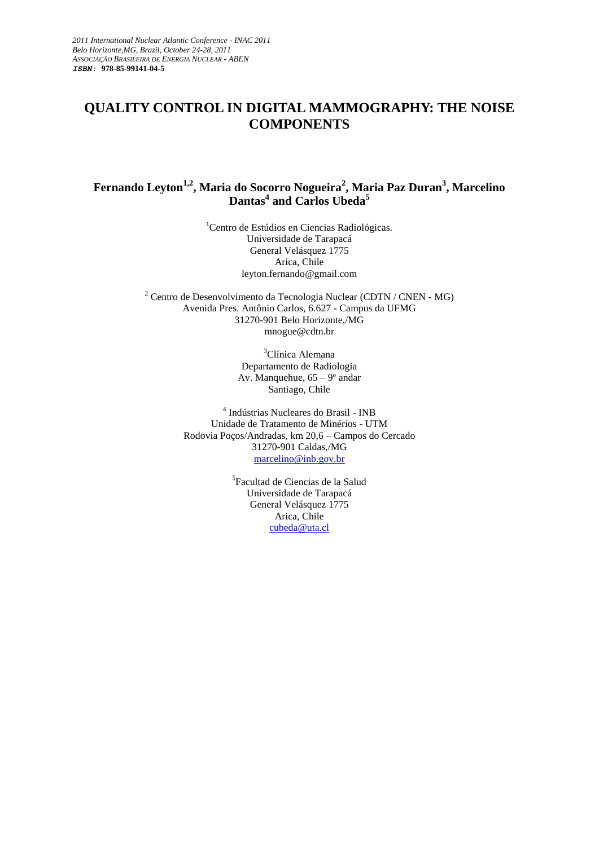# **QUALITY CONTROL IN DIGITAL MAMMOGRAPHY: THE NOISE COMPONENTS**

## **Fernando Leyton1,2 , Maria do Socorro Nogueira<sup>2</sup> , Maria Paz Duran<sup>3</sup> , Marcelino Dantas<sup>4</sup> and Carlos Ubeda<sup>5</sup>**

<sup>1</sup>Centro de Estúdios en Ciencias Radiológicas. Universidade de Tarapacá General Velásquez 1775 Arica, Chile leyton.fernando@gmail.com

 $^2$  Centro de Desenvolvimento da Tecnologia Nuclear (CDTN / CNEN -  $\rm MG)$ Avenida Pres. Antônio Carlos, 6.627 - Campus da UFMG 31270-901 Belo Horizonte,/MG mnogue@cdtn.br

> <sup>3</sup>Clínica Alemana Departamento de Radiologia Av. Manquehue, 65 – 9º andar Santiago, Chile

4 Indústrias Nucleares do Brasil - INB Unidade de Tratamento de Minérios - UTM Rodovia Poços/Andradas, km 20,6 – Campos do Cercado 31270-901 Caldas,/MG [marcelino@inb.gov.br](mailto:marcelino@inb.gov.br)

> 5 Facultad de Ciencias de la Salud Universidade de Tarapacá General Velásquez 1775 Arica, Chile [cubeda@uta.cl](mailto:cubeda@uta.cl)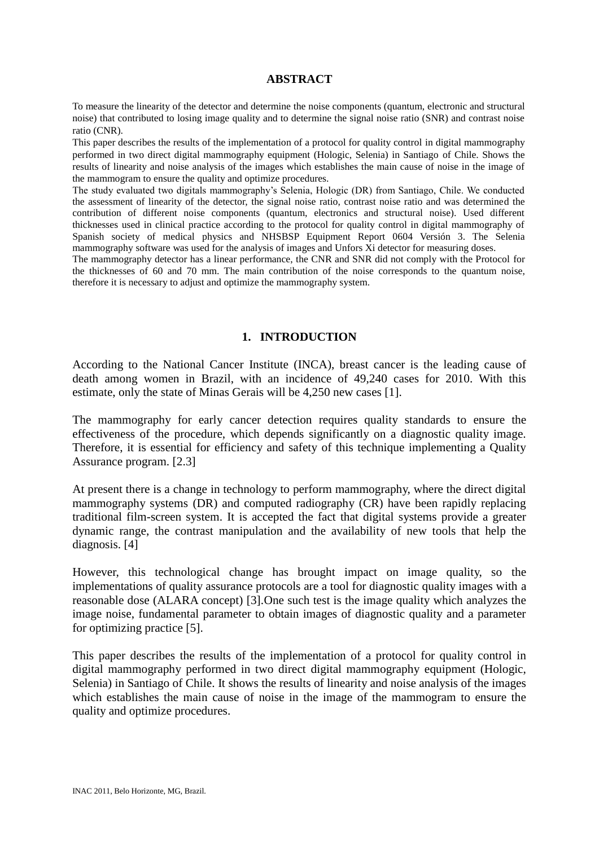## **ABSTRACT**

To measure the linearity of the detector and determine the noise components (quantum, electronic and structural noise) that contributed to losing image quality and to determine the signal noise ratio (SNR) and contrast noise ratio (CNR).

This paper describes the results of the implementation of a protocol for quality control in digital mammography performed in two direct digital mammography equipment (Hologic, Selenia) in Santiago of Chile. Shows the results of linearity and noise analysis of the images which establishes the main cause of noise in the image of the mammogram to ensure the quality and optimize procedures.

The study evaluated two digitals mammography's Selenia, Hologic (DR) from Santiago, Chile. We conducted the assessment of linearity of the detector, the signal noise ratio, contrast noise ratio and was determined the contribution of different noise components (quantum, electronics and structural noise). Used different thicknesses used in clinical practice according to the protocol for quality control in digital mammography of Spanish society of medical physics and NHSBSP Equipment Report 0604 Versión 3. The Selenia mammography software was used for the analysis of images and Unfors Xi detector for measuring doses.

The mammography detector has a linear performance, the CNR and SNR did not comply with the Protocol for the thicknesses of 60 and 70 mm. The main contribution of the noise corresponds to the quantum noise, therefore it is necessary to adjust and optimize the mammography system.

## **1. INTRODUCTION**

According to the National Cancer Institute (INCA), breast cancer is the leading cause of death among women in Brazil, with an incidence of 49,240 cases for 2010. With this estimate, only the state of Minas Gerais will be 4,250 new cases [1].

The mammography for early cancer detection requires quality standards to ensure the effectiveness of the procedure, which depends significantly on a diagnostic quality image. Therefore, it is essential for efficiency and safety of this technique implementing a Quality Assurance program. [2.3]

At present there is a change in technology to perform mammography, where the direct digital mammography systems (DR) and computed radiography (CR) have been rapidly replacing traditional film-screen system. It is accepted the fact that digital systems provide a greater dynamic range, the contrast manipulation and the availability of new tools that help the diagnosis. [4]

However, this technological change has brought impact on image quality, so the implementations of quality assurance protocols are a tool for diagnostic quality images with a reasonable dose (ALARA concept) [3].One such test is the image quality which analyzes the image noise, fundamental parameter to obtain images of diagnostic quality and a parameter for optimizing practice [5].

This paper describes the results of the implementation of a protocol for quality control in digital mammography performed in two direct digital mammography equipment (Hologic, Selenia) in Santiago of Chile. It shows the results of linearity and noise analysis of the images which establishes the main cause of noise in the image of the mammogram to ensure the quality and optimize procedures.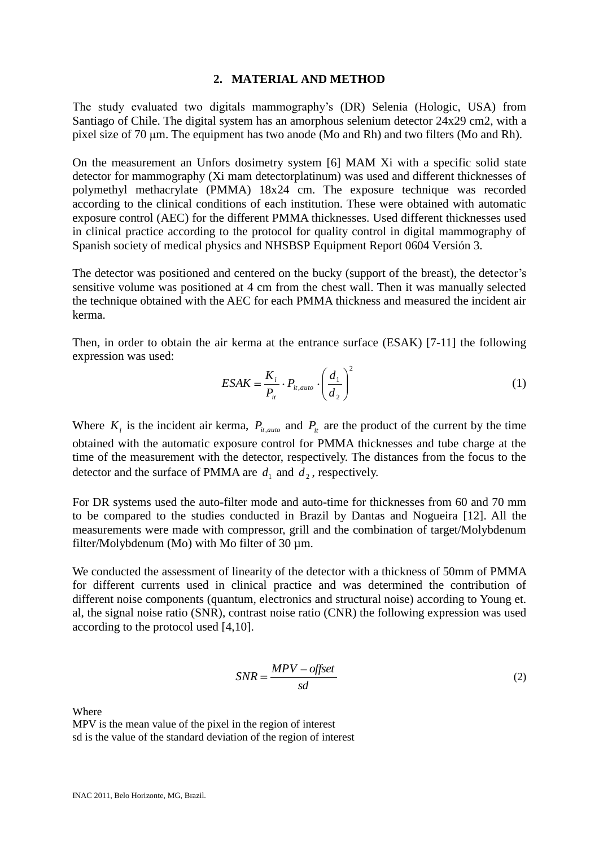## **2. MATERIAL AND METHOD**

The study evaluated two digitals mammography's (DR) Selenia (Hologic, USA) from Santiago of Chile. The digital system has an amorphous selenium detector 24x29 cm2, with a pixel size of 70 μm. The equipment has two anode (Mo and Rh) and two filters (Mo and Rh).

On the measurement an Unfors dosimetry system [6] MAM Xi with a specific solid state detector for mammography (Xi mam detectorplatinum) was used and different thicknesses of polymethyl methacrylate (PMMA) 18x24 cm. The exposure technique was recorded according to the clinical conditions of each institution. These were obtained with automatic exposure control (AEC) for the different PMMA thicknesses. Used different thicknesses used in clinical practice according to the protocol for quality control in digital mammography of Spanish society of medical physics and NHSBSP Equipment Report 0604 Versión 3.

The detector was positioned and centered on the bucky (support of the breast), the detector's sensitive volume was positioned at 4 cm from the chest wall. Then it was manually selected the technique obtained with the AEC for each PMMA thickness and measured the incident air kerma.

Then, in order to obtain the air kerma at the entrance surface (ESAK) [7-11] the following expression was used:

$$
ESAK = \frac{K_i}{P_{it}} \cdot P_{it,auto} \cdot \left(\frac{d_1}{d_2}\right)^2 \tag{1}
$$

Where  $K_i$  is the incident air kerma,  $P_{i\mu, \text{auto}}$  and  $P_{i\mu}$  are the product of the current by the time obtained with the automatic exposure control for PMMA thicknesses and tube charge at the time of the measurement with the detector, respectively. The distances from the focus to the detector and the surface of PMMA are  $d_1$  and  $d_2$ , respectively.

For DR systems used the auto-filter mode and auto-time for thicknesses from 60 and 70 mm to be compared to the studies conducted in Brazil by Dantas and Nogueira [12]. All the measurements were made with compressor, grill and the combination of target/Molybdenum filter/Molybdenum (Mo) with Mo filter of 30 µm.

We conducted the assessment of linearity of the detector with a thickness of 50mm of PMMA for different currents used in clinical practice and was determined the contribution of different noise components (quantum, electronics and structural noise) according to Young et. al, the signal noise ratio (SNR), contrast noise ratio (CNR) the following expression was used according to the protocol used [4,10].

$$
SNR = \frac{MPV - offset}{sd}
$$
 (2)

Where

MPV is the mean value of the pixel in the region of interest sd is the value of the standard deviation of the region of interest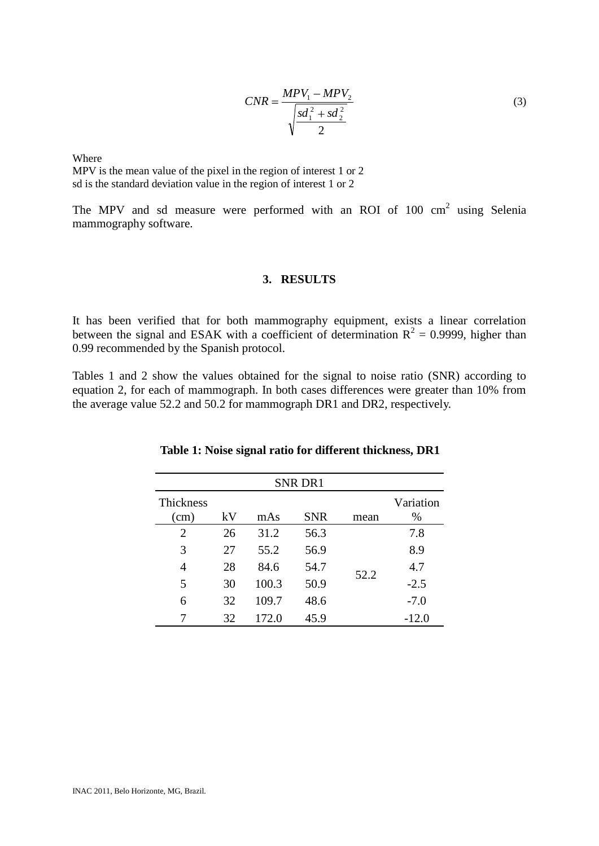$$
CNR = \frac{MPV_1 - MPV_2}{\sqrt{\frac{sd_1^2 + sd_2^2}{2}}}
$$
\n(3)

Where

MPV is the mean value of the pixel in the region of interest 1 or 2 sd is the standard deviation value in the region of interest 1 or 2

The MPV and sd measure were performed with an ROI of  $100 \text{ cm}^2$  using Selenia mammography software.

#### **3. RESULTS**

It has been verified that for both mammography equipment, exists a linear correlation between the signal and ESAK with a coefficient of determination  $R^2 = 0.9999$ , higher than 0.99 recommended by the Spanish protocol.

Tables 1 and 2 show the values obtained for the signal to noise ratio (SNR) according to equation 2, for each of mammograph. In both cases differences were greater than 10% from the average value 52.2 and 50.2 for mammograph DR1 and DR2, respectively.

|                          |    |       | <b>SNR DR1</b> |      |                |
|--------------------------|----|-------|----------------|------|----------------|
| <b>Thickness</b><br>(cm) | kV | mAs   | <b>SNR</b>     | mean | Variation<br>% |
| 2                        | 26 | 31.2  | 56.3           |      | 7.8            |
| 3                        | 27 | 55.2  | 56.9           |      | 8.9            |
| 4                        | 28 | 84.6  | 54.7           | 52.2 | 4.7            |
| 5                        | 30 | 100.3 | 50.9           |      | $-2.5$         |
| 6                        | 32 | 109.7 | 48.6           |      | $-7.0$         |
|                          | 32 | 172.0 | 45.9           |      | $-12.0$        |

#### **Table 1: Noise signal ratio for different thickness, DR1**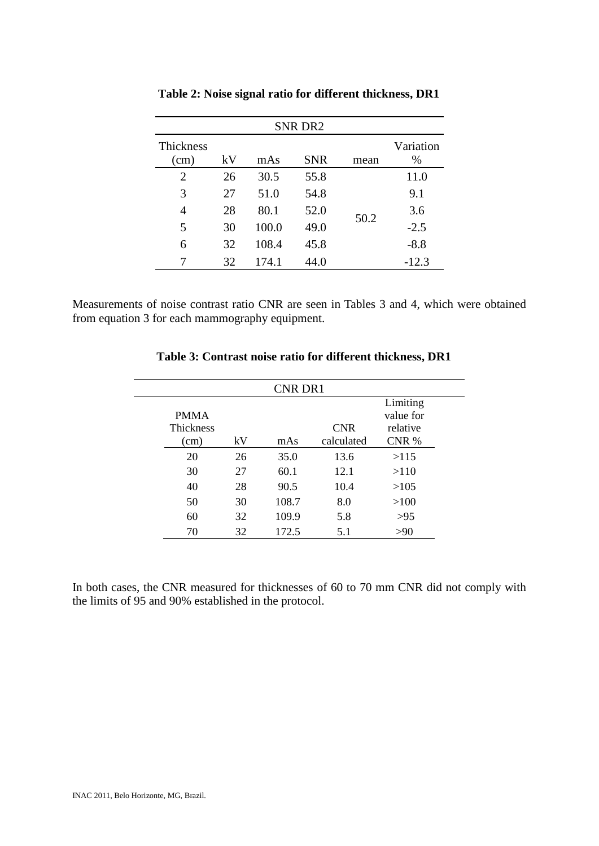| <b>SNR DR2</b>           |    |       |            |      |                |  |
|--------------------------|----|-------|------------|------|----------------|--|
| <b>Thickness</b><br>(cm) | kV | mAs   | <b>SNR</b> | mean | Variation<br>% |  |
| 2                        | 26 | 30.5  | 55.8       |      | 11.0           |  |
| 3                        | 27 | 51.0  | 54.8       |      | 9.1            |  |
| 4                        | 28 | 80.1  | 52.0       | 50.2 | 3.6            |  |
| 5                        | 30 | 100.0 | 49.0       |      | $-2.5$         |  |
| 6                        | 32 | 108.4 | 45.8       |      | $-8.8$         |  |
|                          | 32 | 174.1 | 44.0       |      | $-12.3$        |  |

**Table 2: Noise signal ratio for different thickness, DR1**

Measurements of noise contrast ratio CNR are seen in Tables 3 and 4, which were obtained from equation 3 for each mammography equipment.

| <b>CNR DR1</b> |    |       |            |           |
|----------------|----|-------|------------|-----------|
|                |    |       |            | Limiting  |
| <b>PMMA</b>    |    |       |            | value for |
| Thickness      |    |       | <b>CNR</b> | relative  |
| (cm)           | kV | mAs   | calculated | CNR %     |
| 20             | 26 | 35.0  | 13.6       | >115      |
| 30             | 27 | 60.1  | 12.1       | >110      |
| 40             | 28 | 90.5  | 10.4       | >105      |
| 50             | 30 | 108.7 | 8.0        | >100      |
| 60             | 32 | 109.9 | 5.8        | >95       |
| 70             | 32 | 172.5 | 5.1        | >90       |

**Table 3: Contrast noise ratio for different thickness, DR1**

In both cases, the CNR measured for thicknesses of 60 to 70 mm CNR did not comply with the limits of 95 and 90% established in the protocol.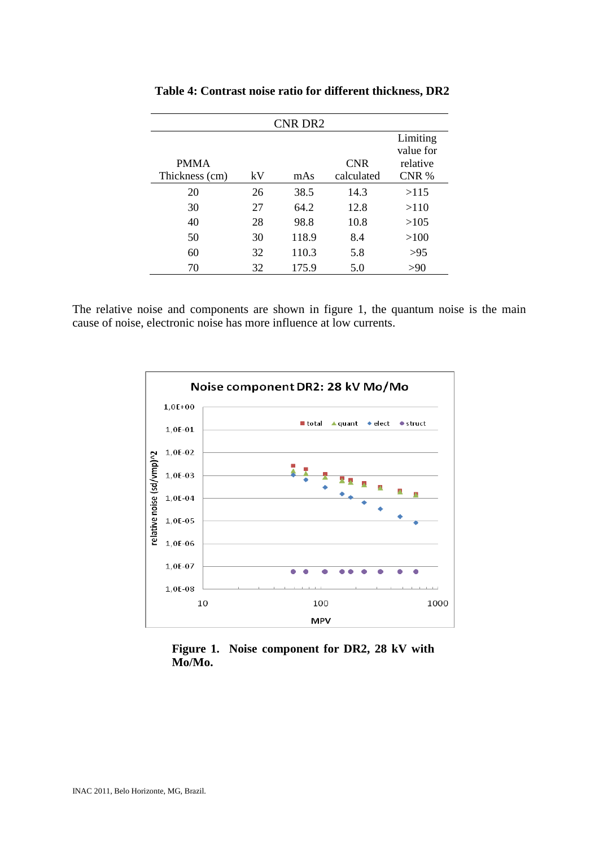| <b>CNR DR2</b> |    |       |            |                                   |  |
|----------------|----|-------|------------|-----------------------------------|--|
| <b>PMMA</b>    |    |       | <b>CNR</b> | Limiting<br>value for<br>relative |  |
| Thickness (cm) | kV | mAs   | calculated | CNR %                             |  |
| 20             | 26 | 38.5  | 14.3       | >115                              |  |
| 30             | 27 | 64.2  | 12.8       | >110                              |  |
| 40             | 28 | 98.8  | 10.8       | >105                              |  |
| 50             | 30 | 118.9 | 8.4        | >100                              |  |
| 60             | 32 | 110.3 | 5.8        | >95                               |  |
| 70             | 32 | 175.9 | 5.0        | >90                               |  |

**Table 4: Contrast noise ratio for different thickness, DR2**

The relative noise and components are shown in figure 1, the quantum noise is the main cause of noise, electronic noise has more influence at low currents.



**Figure 1. Noise component for DR2, 28 kV with Mo/Mo.**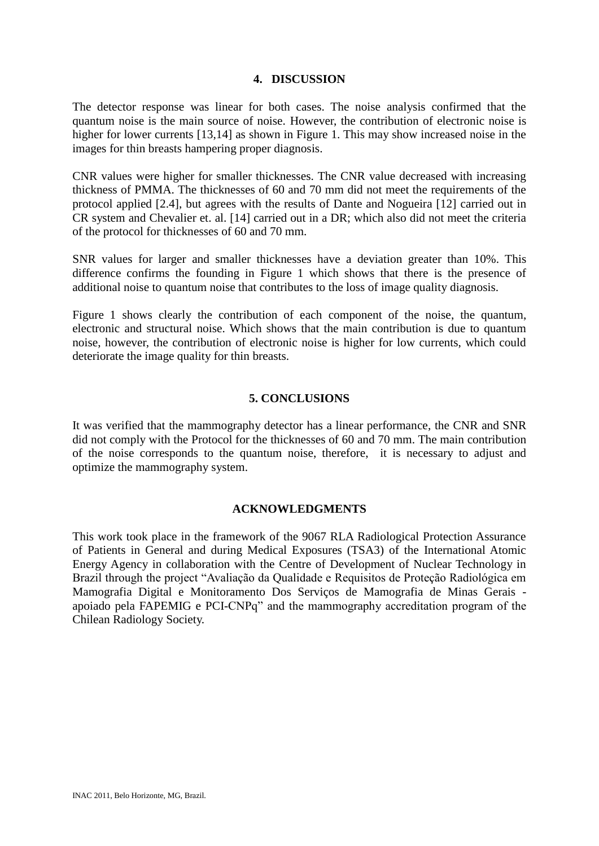## **4. DISCUSSION**

The detector response was linear for both cases. The noise analysis confirmed that the quantum noise is the main source of noise. However, the contribution of electronic noise is higher for lower currents [13,14] as shown in Figure 1. This may show increased noise in the images for thin breasts hampering proper diagnosis.

CNR values were higher for smaller thicknesses. The CNR value decreased with increasing thickness of PMMA. The thicknesses of 60 and 70 mm did not meet the requirements of the protocol applied [2.4], but agrees with the results of Dante and Nogueira [12] carried out in CR system and Chevalier et. al. [14] carried out in a DR; which also did not meet the criteria of the protocol for thicknesses of 60 and 70 mm.

SNR values for larger and smaller thicknesses have a deviation greater than 10%. This difference confirms the founding in Figure 1 which shows that there is the presence of additional noise to quantum noise that contributes to the loss of image quality diagnosis.

Figure 1 shows clearly the contribution of each component of the noise, the quantum, electronic and structural noise. Which shows that the main contribution is due to quantum noise, however, the contribution of electronic noise is higher for low currents, which could deteriorate the image quality for thin breasts.

#### **5. CONCLUSIONS**

It was verified that the mammography detector has a linear performance, the CNR and SNR did not comply with the Protocol for the thicknesses of 60 and 70 mm. The main contribution of the noise corresponds to the quantum noise, therefore, it is necessary to adjust and optimize the mammography system.

## **ACKNOWLEDGMENTS**

This work took place in the framework of the 9067 RLA Radiological Protection Assurance of Patients in General and during Medical Exposures (TSA3) of the International Atomic Energy Agency in collaboration with the Centre of Development of Nuclear Technology in Brazil through the project "Avaliação da Qualidade e Requisitos de Proteção Radiológica em Mamografia Digital e Monitoramento Dos Serviços de Mamografia de Minas Gerais apoiado pela FAPEMIG e PCI-CNPq" and the mammography accreditation program of the Chilean Radiology Society.